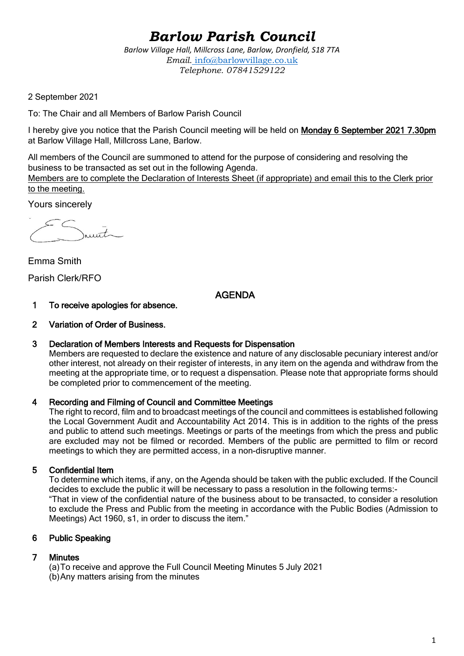# *Barlow Parish Council*

*Barlow Village Hall, Millcross Lane, Barlow, Dronfield, S18 7TA Email.* info@barlowvillage.co.uk *Telephone. 07841529122*

2 September 2021

To: The Chair and all Members of Barlow Parish Council

I hereby give you notice that the Parish Council meeting will be held on Monday 6 September 2021 7.30pm at Barlow Village Hall, Millcross Lane, Barlow.

All members of the Council are summoned to attend for the purpose of considering and resolving the business to be transacted as set out in the following Agenda.

Members are to complete the Declaration of Interests Sheet (if appropriate) and email this to the Clerk prior to the meeting.

Yours sincerely

 $\bar{t}$ 

Emma Smith Parish Clerk/RFO

# AGENDA

- 1 To receive apologies for absence.
- 2 Variation of Order of Business.

#### 3 Declaration of Members Interests and Requests for Dispensation

Members are requested to declare the existence and nature of any disclosable pecuniary interest and/or other interest, not already on their register of interests, in any item on the agenda and withdraw from the meeting at the appropriate time, or to request a dispensation. Please note that appropriate forms should be completed prior to commencement of the meeting.

## 4 Recording and Filming of Council and Committee Meetings

The right to record, film and to broadcast meetings of the council and committees is established following the Local Government Audit and Accountability Act 2014. This is in addition to the rights of the press and public to attend such meetings. Meetings or parts of the meetings from which the press and public are excluded may not be filmed or recorded. Members of the public are permitted to film or record meetings to which they are permitted access, in a non-disruptive manner.

## 5 Confidential Item

To determine which items, if any, on the Agenda should be taken with the public excluded. If the Council decides to exclude the public it will be necessary to pass a resolution in the following terms:- "That in view of the confidential nature of the business about to be transacted, to consider a resolution to exclude the Press and Public from the meeting in accordance with the Public Bodies (Admission to Meetings) Act 1960, s1, in order to discuss the item."

## 6 Public Speaking

## 7 Minutes

(a)To receive and approve the Full Council Meeting Minutes 5 July 2021 (b)Any matters arising from the minutes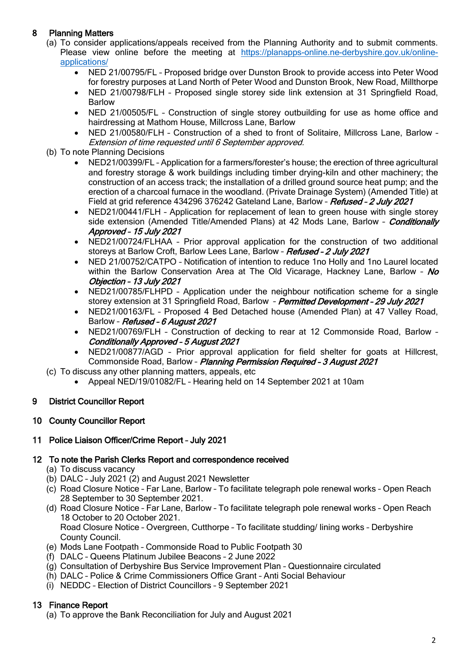# 8 Planning Matters

- (a) To consider applications/appeals received from the Planning Authority and to submit comments. Please view online before the meeting at [https://planapps-online.ne-derbyshire.gov.uk/online](https://planapps-online.ne-derbyshire.gov.uk/online-applications/)[applications/](https://planapps-online.ne-derbyshire.gov.uk/online-applications/)
	- NED 21/00795/FL Proposed bridge over Dunston Brook to provide access into Peter Wood for forestry purposes at Land North of Peter Wood and Dunston Brook, New Road, Millthorpe
	- NED 21/00798/FLH Proposed single storey side link extension at 31 Springfield Road, Barlow
	- NED 21/00505/FL Construction of single storey outbuilding for use as home office and hairdressing at Mathom House, Millcross Lane, Barlow
	- NED 21/00580/FLH Construction of a shed to front of Solitaire, Millcross Lane, Barlow Extension of time requested until 6 September approved.
- (b) To note Planning Decisions
	- NED21/00399/FL Application for a farmers/forester's house; the erection of three agricultural and forestry storage & work buildings including timber drying-kiln and other machinery; the construction of an access track; the installation of a drilled ground source heat pump; and the erection of a charcoal furnace in the woodland. (Private Drainage System) (Amended Title) at Field at grid reference 434296 376242 Gateland Lane, Barlow - Refused - 2 July 2021
	- NED21/00441/FLH Application for replacement of lean to green house with single storey side extension (Amended Title/Amended Plans) at 42 Mods Lane, Barlow - Conditionally Approved – 15 July 2021
	- NED21/00724/FLHAA Prior approval application for the construction of two additional storeys at Barlow Croft, Barlow Lees Lane, Barlow - Refused - 2 July 2021
	- NED 21/00752/CATPO Notification of intention to reduce 1no Holly and 1no Laurel located within the Barlow Conservation Area at The Old Vicarage, Hackney Lane, Barlow - No Objection – 13 July 2021
	- NED21/00785/FLHPD Application under the neighbour notification scheme for a single storey extension at 31 Springfield Road, Barlow - Permitted Development - 29 July 2021
	- NED21/00163/FL Proposed 4 Bed Detached house (Amended Plan) at 47 Valley Road, Barlow - Refused - 6 August 2021
	- NED21/00769/FLH Construction of decking to rear at 12 Commonside Road, Barlow Conditionally Approved – 5 August 2021
	- NED21/00877/AGD Prior approval application for field shelter for goats at Hillcrest, Commonside Road, Barlow – Planning Permission Required – 3 August 2021
- (c) To discuss any other planning matters, appeals, etc
	- Appeal NED/19/01082/FL Hearing held on 14 September 2021 at 10am

# 9 District Councillor Report

# 10 County Councillor Report

## 11 Police Liaison Officer/Crime Report – July 2021

## 12 To note the Parish Clerks Report and correspondence received

- (a) To discuss vacancy
- (b) DALC July 2021 (2) and August 2021 Newsletter
- (c) Road Closure Notice Far Lane, Barlow To facilitate telegraph pole renewal works Open Reach 28 September to 30 September 2021.
- (d) Road Closure Notice Far Lane, Barlow To facilitate telegraph pole renewal works Open Reach 18 October to 20 October 2021. Road Closure Notice – Overgreen, Cutthorpe – To facilitate studding/ lining works – Derbyshire County Council.
- (e) Mods Lane Footpath Commonside Road to Public Footpath 30
- (f) DALC Queens Platinum Jubilee Beacons 2 June 2022
- (g) Consultation of Derbyshire Bus Service Improvement Plan Questionnaire circulated
- (h) DALC Police & Crime Commissioners Office Grant Anti Social Behaviour
- (i) NEDDC Election of District Councillors 9 September 2021

# 13 Finance Report

(a) To approve the Bank Reconciliation for July and August 2021